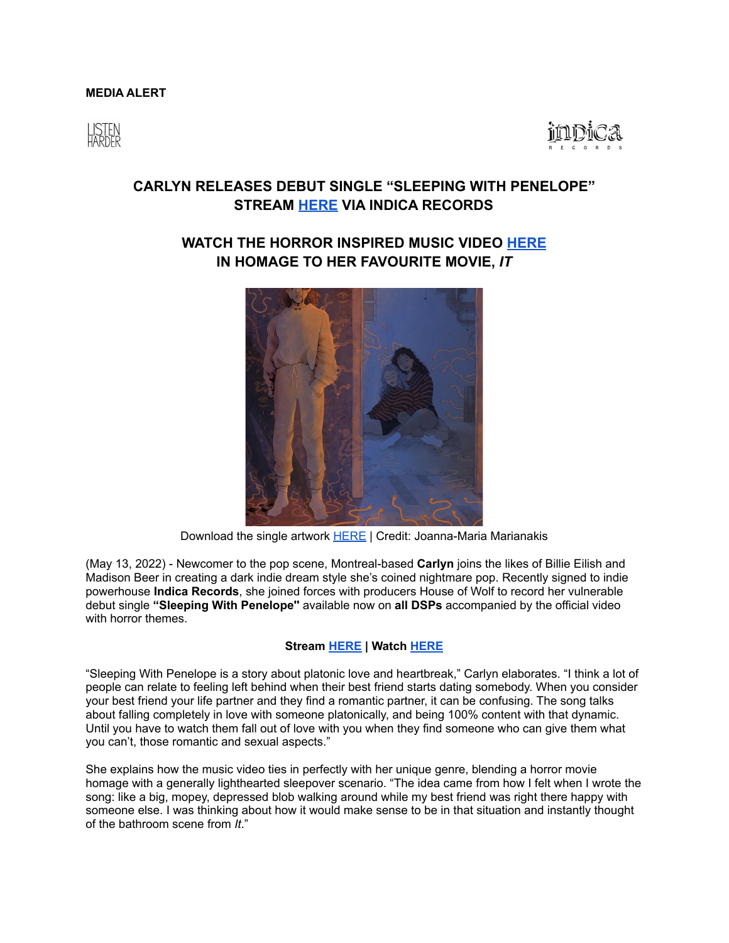## **MEDIA ALERT**





## **CARLYN RELEASES DEBUT SINGLE "SLEEPING WITH PENELOPE" STREAM [HERE](https://carlyn.lnk.tt/SWPPR) VIA INDICA RECORDS**

## **WATCH THE HORROR INSPIRED MUSIC VIDEO [HERE](https://youtu.be/bRRwtrYykM0) IN HOMAGE TO HER FAVOURITE MOVIE,** *IT*



Download the single artwork **[HERE](https://www.dropbox.com/s/fclzp9ifnxz4u0s/SWP_CoverArt.tiff?dl=0)** | Credit: Joanna-Maria Marianakis

(May 13, 2022) - Newcomer to the pop scene, Montreal-based **Carlyn** joins the likes of Billie Eilish and Madison Beer in creating a dark indie dream style she's coined nightmare pop. Recently signed to indie powerhouse **Indica Records**, she joined forces with producers House of Wolf to record her vulnerable debut single **"Sleeping With Penelope''** available now on **all DSPs** accompanied by the official video with horror themes.

## **Stream [HERE](https://carlyn.lnk.tt/SWPPR) | Watch [HERE](https://youtu.be/bRRwtrYykM0)**

"Sleeping With Penelope is a story about platonic love and heartbreak," Carlyn elaborates. "I think a lot of people can relate to feeling left behind when their best friend starts dating somebody. When you consider your best friend your life partner and they find a romantic partner, it can be confusing. The song talks about falling completely in love with someone platonically, and being 100% content with that dynamic. Until you have to watch them fall out of love with you when they find someone who can give them what you can't, those romantic and sexual aspects."

She explains how the music video ties in perfectly with her unique genre, blending a horror movie homage with a generally lighthearted sleepover scenario. "The idea came from how I felt when I wrote the song: like a big, mopey, depressed blob walking around while my best friend was right there happy with someone else. I was thinking about how it would make sense to be in that situation and instantly thought of the bathroom scene from *It*."